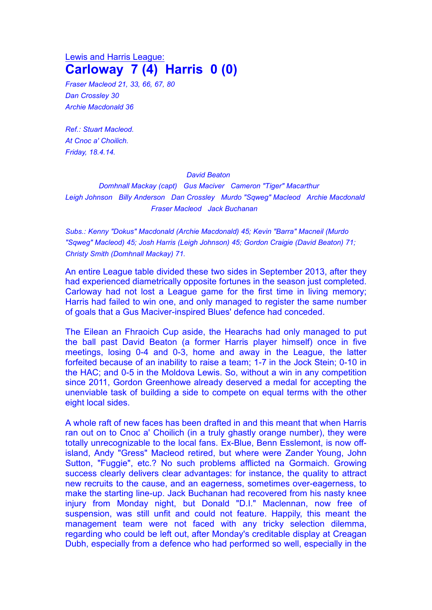## Lewis and Harris League: **Carloway 7 (4) Harris 0 (0)**

*Fraser Macleod 21, 33, 66, 67, 80 Dan Crossley 30 Archie Macdonald 36*

*Ref.: Stuart Macleod. At Cnoc a' Choilich. Friday, 18.4.14.*

## *David Beaton*

*Domhnall Mackay (capt) Gus Maciver Cameron "Tiger" Macarthur Leigh Johnson Billy Anderson Dan Crossley Murdo "Sqweg" Macleod Archie Macdonald Fraser Macleod Jack Buchanan*

*Subs.: Kenny "Dokus" Macdonald (Archie Macdonald) 45; Kevin "Barra" Macneil (Murdo "Sqweg" Macleod) 45; Josh Harris (Leigh Johnson) 45; Gordon Craigie (David Beaton) 71; Christy Smith (Domhnall Mackay) 71.*

An entire League table divided these two sides in September 2013, after they had experienced diametrically opposite fortunes in the season just completed. Carloway had not lost a League game for the first time in living memory; Harris had failed to win one, and only managed to register the same number of goals that a Gus Maciver-inspired Blues' defence had conceded.

The Eilean an Fhraoich Cup aside, the Hearachs had only managed to put the ball past David Beaton (a former Harris player himself) once in five meetings, losing 0-4 and 0-3, home and away in the League, the latter forfeited because of an inability to raise a team; 1-7 in the Jock Stein; 0-10 in the HAC; and 0-5 in the Moldova Lewis. So, without a win in any competition since 2011, Gordon Greenhowe already deserved a medal for accepting the unenviable task of building a side to compete on equal terms with the other eight local sides.

A whole raft of new faces has been drafted in and this meant that when Harris ran out on to Cnoc a' Choilich (in a truly ghastly orange number), they were totally unrecognizable to the local fans. Ex-Blue, Benn Esslemont, is now offisland, Andy "Gress" Macleod retired, but where were Zander Young, John Sutton, "Fuggie", etc.? No such problems afflicted na Gormaich. Growing success clearly delivers clear advantages: for instance, the quality to attract new recruits to the cause, and an eagerness, sometimes over-eagerness, to make the starting line-up. Jack Buchanan had recovered from his nasty knee injury from Monday night, but Donald "D.I." Maclennan, now free of suspension, was still unfit and could not feature. Happily, this meant the management team were not faced with any tricky selection dilemma, regarding who could be left out, after Monday's creditable display at Creagan Dubh, especially from a defence who had performed so well, especially in the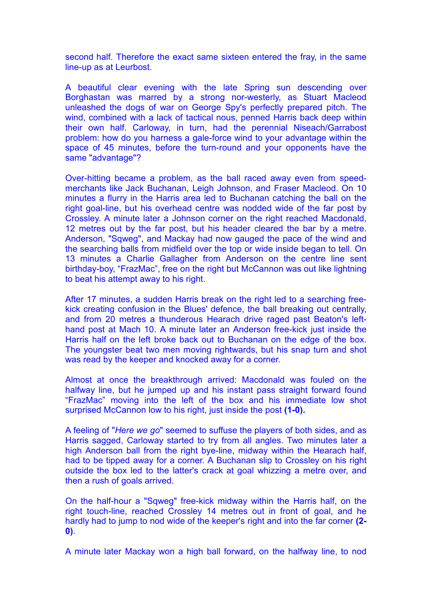second half. Therefore the exact same sixteen entered the fray, in the same line-up as at Leurbost.

A beautiful clear evening with the late Spring sun descending over Borghastan was marred by a strong nor-westerly, as Stuart Macleod unleashed the dogs of war on George Spy's perfectly prepared pitch. The wind, combined with a lack of tactical nous, penned Harris back deep within their own half. Carloway, in turn, had the perennial Niseach/Garrabost problem: how do you harness a gale-force wind to your advantage within the space of 45 minutes, before the turn-round and your opponents have the same "advantage"?

Over-hitting became a problem, as the ball raced away even from speedmerchants like Jack Buchanan, Leigh Johnson, and Fraser Macleod. On 10 minutes a flurry in the Harris area led to Buchanan catching the ball on the right goal-line, but his overhead centre was nodded wide of the far post by Crossley. A minute later a Johnson corner on the right reached Macdonald, 12 metres out by the far post, but his header cleared the bar by a metre. Anderson, "Sqweg", and Mackay had now gauged the pace of the wind and the searching balls from midfield over the top or wide inside began to tell. On 13 minutes a Charlie Gallagher from Anderson on the centre line sent birthday-boy, "FrazMac", free on the right but McCannon was out like lightning to beat his attempt away to his right.

After 17 minutes, a sudden Harris break on the right led to a searching freekick creating confusion in the Blues' defence, the ball breaking out centrally, and from 20 metres a thunderous Hearach drive raged past Beaton's lefthand post at Mach 10. A minute later an Anderson free-kick just inside the Harris half on the left broke back out to Buchanan on the edge of the box. The youngster beat two men moving rightwards, but his snap turn and shot was read by the keeper and knocked away for a corner.

Almost at once the breakthrough arrived: Macdonald was fouled on the halfway line, but he jumped up and his instant pass straight forward found "FrazMac" moving into the left of the box and his immediate low shot surprised McCannon low to his right, just inside the post **(1-0).**

A feeling of "*Here we go*" seemed to suffuse the players of both sides, and as Harris sagged, Carloway started to try from all angles. Two minutes later a high Anderson ball from the right bye-line, midway within the Hearach half, had to be tipped away for a corner. A Buchanan slip to Crossley on his right outside the box led to the latter's crack at goal whizzing a metre over, and then a rush of goals arrived.

On the half-hour a "Sqweg" free-kick midway within the Harris half, on the right touch-line, reached Crossley 14 metres out in front of goal, and he hardly had to jump to nod wide of the keeper's right and into the far corner **(2- 0)**.

A minute later Mackay won a high ball forward, on the halfway line, to nod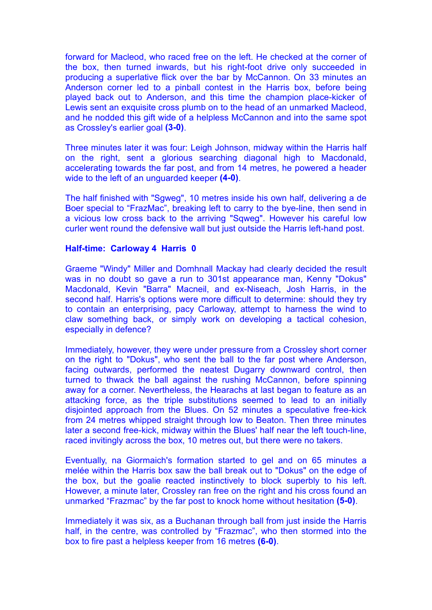forward for Macleod, who raced free on the left. He checked at the corner of the box, then turned inwards, but his right-foot drive only succeeded in producing a superlative flick over the bar by McCannon. On 33 minutes an Anderson corner led to a pinball contest in the Harris box, before being played back out to Anderson, and this time the champion place-kicker of Lewis sent an exquisite cross plumb on to the head of an unmarked Macleod, and he nodded this gift wide of a helpless McCannon and into the same spot as Crossley's earlier goal **(3-0)**.

Three minutes later it was four: Leigh Johnson, midway within the Harris half on the right, sent a glorious searching diagonal high to Macdonald, accelerating towards the far post, and from 14 metres, he powered a header wide to the left of an unguarded keeper **(4-0)**.

The half finished with "Sgweg", 10 metres inside his own half, delivering a de Boer special to "FrazMac", breaking left to carry to the bye-line, then send in a vicious low cross back to the arriving "Sqweg". However his careful low curler went round the defensive wall but just outside the Harris left-hand post.

## **Half-time: Carloway 4 Harris 0**

Graeme "Windy" Miller and Domhnall Mackay had clearly decided the result was in no doubt so gave a run to 301st appearance man, Kenny "Dokus" Macdonald, Kevin "Barra" Macneil, and ex-Niseach, Josh Harris, in the second half. Harris's options were more difficult to determine: should they try to contain an enterprising, pacy Carloway, attempt to harness the wind to claw something back, or simply work on developing a tactical cohesion, especially in defence?

Immediately, however, they were under pressure from a Crossley short corner on the right to "Dokus", who sent the ball to the far post where Anderson, facing outwards, performed the neatest Dugarry downward control, then turned to thwack the ball against the rushing McCannon, before spinning away for a corner. Nevertheless, the Hearachs at last began to feature as an attacking force, as the triple substitutions seemed to lead to an initially disjointed approach from the Blues. On 52 minutes a speculative free-kick from 24 metres whipped straight through low to Beaton. Then three minutes later a second free-kick, midway within the Blues' half near the left touch-line, raced invitingly across the box, 10 metres out, but there were no takers.

Eventually, na Giormaich's formation started to gel and on 65 minutes a melée within the Harris box saw the ball break out to "Dokus" on the edge of the box, but the goalie reacted instinctively to block superbly to his left. However, a minute later, Crossley ran free on the right and his cross found an unmarked "Frazmac" by the far post to knock home without hesitation **(5-0)**.

Immediately it was six, as a Buchanan through ball from just inside the Harris half, in the centre, was controlled by "Frazmac", who then stormed into the box to fire past a helpless keeper from 16 metres **(6-0)**.